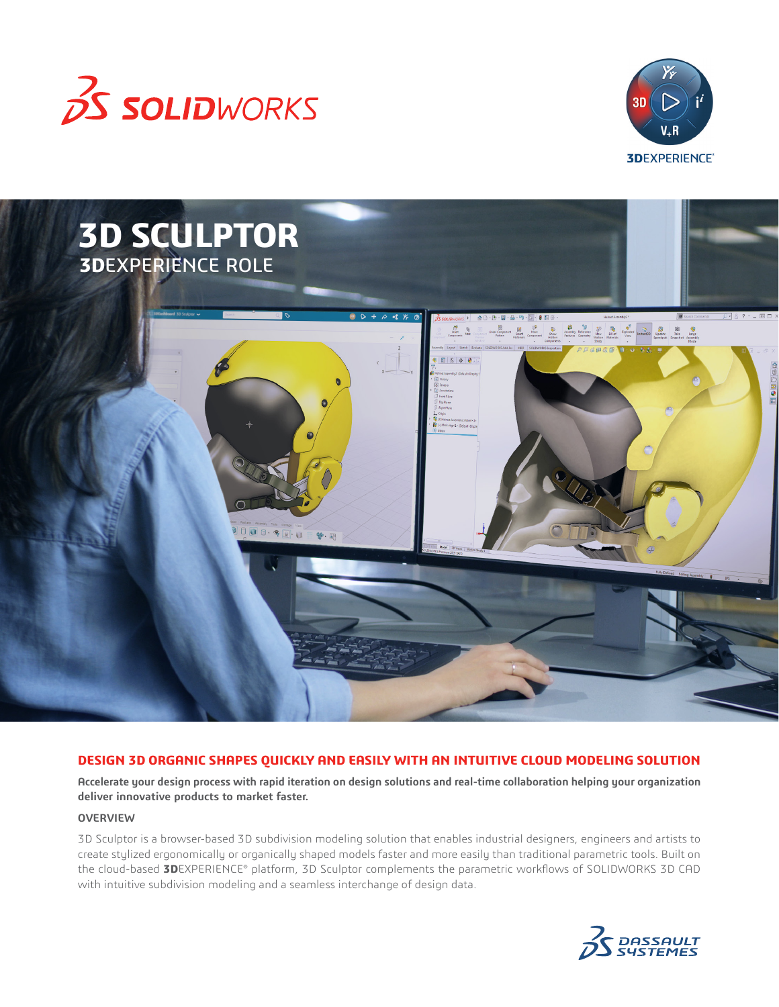





# **DESIGN 3D ORGANIC SHAPES QUICKLY AND EASILY WITH AN INTUITIVE CLOUD MODELING SOLUTION**

**Accelerate your design process with rapid iteration on design solutions and real-time collaboration helping your organization deliver innovative products to market faster.**

## **OVERVIEW**

3D Sculptor is a browser-based 3D subdivision modeling solution that enables industrial designers, engineers and artists to create stylized ergonomically or organically shaped models faster and more easily than traditional parametric tools. Built on the cloud-based **3D**EXPERIENCE® platform, 3D Sculptor complements the parametric workflows of SOLIDWORKS 3D CAD with intuitive subdivision modeling and a seamless interchange of design data.